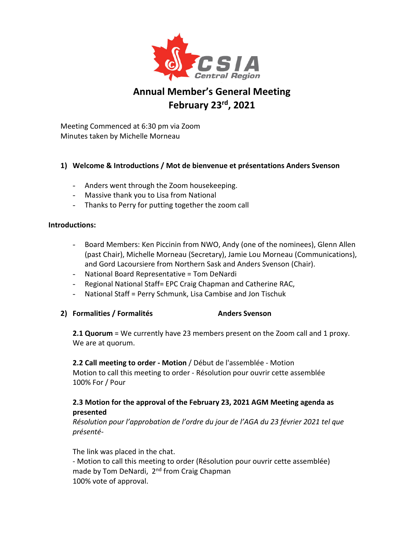

# **Annual Member's General Meeting February 23rd, 2021**

Meeting Commenced at 6:30 pm via Zoom Minutes taken by Michelle Morneau

## **1) Welcome & Introductions / Mot de bienvenue et présentations Anders Svenson**

- Anders went through the Zoom housekeeping.
- Massive thank you to Lisa from National
- Thanks to Perry for putting together the zoom call

#### **Introductions:**

- Board Members: Ken Piccinin from NWO, Andy (one of the nominees), Glenn Allen (past Chair), Michelle Morneau (Secretary), Jamie Lou Morneau (Communications), and Gord Lacoursiere from Northern Sask and Anders Svenson (Chair).
- National Board Representative = Tom DeNardi
- Regional National Staff= EPC Craig Chapman and Catherine RAC,
- National Staff = Perry Schmunk, Lisa Cambise and Jon Tischuk
- 2) **Formalities / Formalités** Anders Svenson

**2.1 Quorum** = We currently have 23 members present on the Zoom call and 1 proxy. We are at quorum.

**2.2 Call meeting to order - Motion** / Début de l'assemblée - Motion Motion to call this meeting to order - Résolution pour ouvrir cette assemblée 100% For / Pour

## **2.3 Motion for the approval of the February 23, 2021 AGM Meeting agenda as presented**

*Résolution pour l'approbation de l'ordre du jour de l'AGA du 23 février 2021 tel que présenté-*

The link was placed in the chat.

- Motion to call this meeting to order (Résolution pour ouvrir cette assemblée) made by Tom DeNardi, 2<sup>nd</sup> from Craig Chapman 100% vote of approval.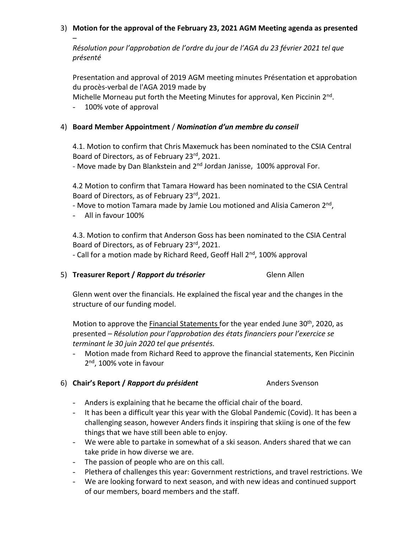### 3) **Motion for the approval of the February 23, 2021 AGM Meeting agenda as presented**

*Résolution pour l'approbation de l'ordre du jour de l'AGA du 23 février 2021 tel que présenté*

Presentation and approval of 2019 AGM meeting minutes Présentation et approbation du procès-verbal de l'AGA 2019 made by

Michelle Morneau put forth the Meeting Minutes for approval, Ken Piccinin  $2<sup>nd</sup>$ .

- 100% vote of approval

–

## 4) **Board Member Appointment** / *Nomination d'un membre du conseil*

4.1. Motion to confirm that Chris Maxemuck has been nominated to the CSIA Central Board of Directors, as of February 23rd, 2021.

- Move made by Dan Blankstein and 2<sup>nd</sup> Jordan Janisse, 100% approval For.

4.2 Motion to confirm that Tamara Howard has been nominated to the CSIA Central Board of Directors, as of February 23rd, 2021.

- Move to motion Tamara made by Jamie Lou motioned and Alisia Cameron 2<sup>nd</sup>,

- All in favour 100%

4.3. Motion to confirm that Anderson Goss has been nominated to the CSIA Central Board of Directors, as of February 23rd, 2021.

- Call for a motion made by Richard Reed, Geoff Hall 2<sup>nd</sup>, 100% approval

5) **Treasurer Report /** *Rapport du trésorier* Glenn Allen

Glenn went over the financials. He explained the fiscal year and the changes in the structure of our funding model.

Motion to approve the Financial Statements for the year ended June  $30<sup>th</sup>$ , 2020, as presented – *Résolution pour l'approbation des états financiers pour l'exercice se terminant le 30 juin 2020 tel que présentés.*

- Motion made from Richard Reed to approve the financial statements, Ken Piccinin 2<sup>nd</sup>, 100% vote in favour

# 6) **Chair's Report /** *Rapport du président* Anders Svenson

- Anders is explaining that he became the official chair of the board.
- It has been a difficult year this year with the Global Pandemic (Covid). It has been a challenging season, however Anders finds it inspiring that skiing is one of the few things that we have still been able to enjoy.
- We were able to partake in somewhat of a ski season. Anders shared that we can take pride in how diverse we are.
- The passion of people who are on this call.
- Plethera of challenges this year: Government restrictions, and travel restrictions. We
- We are looking forward to next season, and with new ideas and continued support of our members, board members and the staff.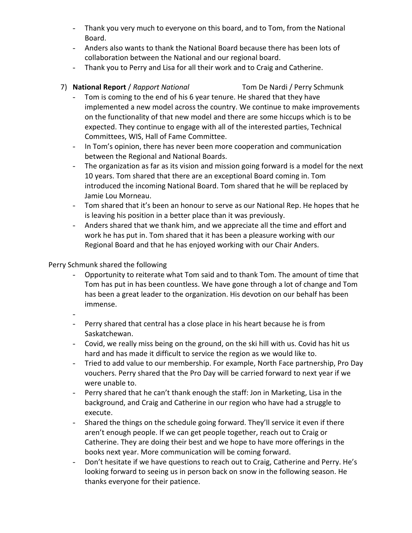- Thank you very much to everyone on this board, and to Tom, from the National Board.
- Anders also wants to thank the National Board because there has been lots of collaboration between the National and our regional board.
- Thank you to Perry and Lisa for all their work and to Craig and Catherine.

## 7) **National Report** / *Rapport National* Tom De Nardi / Perry Schmunk

- Tom is coming to the end of his 6 year tenure. He shared that they have implemented a new model across the country. We continue to make improvements on the functionality of that new model and there are some hiccups which is to be expected. They continue to engage with all of the interested parties, Technical Committees, WIS, Hall of Fame Committee.
- In Tom's opinion, there has never been more cooperation and communication between the Regional and National Boards.
- The organization as far as its vision and mission going forward is a model for the next 10 years. Tom shared that there are an exceptional Board coming in. Tom introduced the incoming National Board. Tom shared that he will be replaced by Jamie Lou Morneau.
- Tom shared that it's been an honour to serve as our National Rep. He hopes that he is leaving his position in a better place than it was previously.
- Anders shared that we thank him, and we appreciate all the time and effort and work he has put in. Tom shared that it has been a pleasure working with our Regional Board and that he has enjoyed working with our Chair Anders.

Perry Schmunk shared the following

- Opportunity to reiterate what Tom said and to thank Tom. The amount of time that Tom has put in has been countless. We have gone through a lot of change and Tom has been a great leader to the organization. His devotion on our behalf has been immense.
- -
- Perry shared that central has a close place in his heart because he is from Saskatchewan.
- Covid, we really miss being on the ground, on the ski hill with us. Covid has hit us hard and has made it difficult to service the region as we would like to.
- Tried to add value to our membership. For example, North Face partnership, Pro Day vouchers. Perry shared that the Pro Day will be carried forward to next year if we were unable to.
- Perry shared that he can't thank enough the staff: Jon in Marketing, Lisa in the background, and Craig and Catherine in our region who have had a struggle to execute.
- Shared the things on the schedule going forward. They'll service it even if there aren't enough people. If we can get people together, reach out to Craig or Catherine. They are doing their best and we hope to have more offerings in the books next year. More communication will be coming forward.
- Don't hesitate if we have questions to reach out to Craig, Catherine and Perry. He's looking forward to seeing us in person back on snow in the following season. He thanks everyone for their patience.